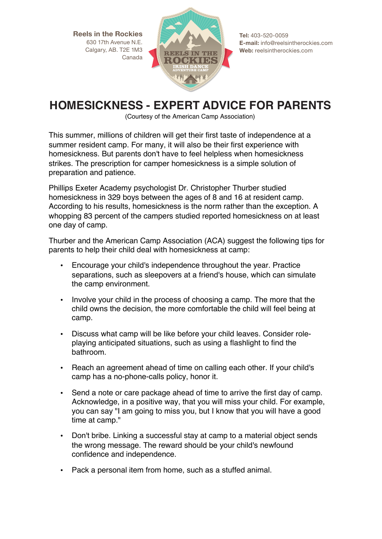**Reels in the Rockies** 630 17th Avenue N.E. Calgary, AB. T2E 1M3 Canada



**Tel:** 403-520-0059 **E-mail:** info@reelsintherockies.com **Web:** reelsintherockies.com

## **Homesickness – Expert Advice for Parents HOMESICKNESS - EXPERT ADVICE FOR PARENTS**

(Courtesy of the American Camp Association) (Courtesy of the American Camp Association)

This summer, millions of children will get their first taste of independence at a summer resident camp. For many, it will also be their first experience with homesickness. But parents don't have to feel helpless when homesickness strikes. The prescription for camper homesickness is a simple solution of preparation and patience.

Phillips Exeter Academy psychologist Dr. Christopher Thurber studied homesickness in 329 boys between the ages of 8 and 16 at resident camp. According to his results, homesickness is the norm rather than the exception. A whopping 83 percent of the campers studied reported homesickness on at least one day of camp.

Thurber and the American Camp Association (ACA) suggest the following tips for parents to help their child deal with homesickness at camp:

- Encourage your child's independence throughout the year. Practice separations, such as sleepovers at a friend's house, which can simulate the camp environment.
- Involve your child in the process of choosing a camp. The more that the child owns the decision, the more comfortable the child will feel being at camp.
- Discuss what camp will be like before your child leaves. Consider roleplaying anticipated situations, such as using a flashlight to find the bathroom.
- Reach an agreement ahead of time on calling each other. If your child's camp has a no-phone-calls policy, honor it.
- Send a note or care package ahead of time to arrive the first day of camp. Acknowledge, in a positive way, that you will miss your child. For example, you can say "I am going to miss you, but I know that you will have a good time at camp."
- Don't bribe. Linking a successful stay at camp to a material object sends the wrong message. The reward should be your child's newfound confidence and independence.
- Pack a personal item from home, such as a stuffed animal.